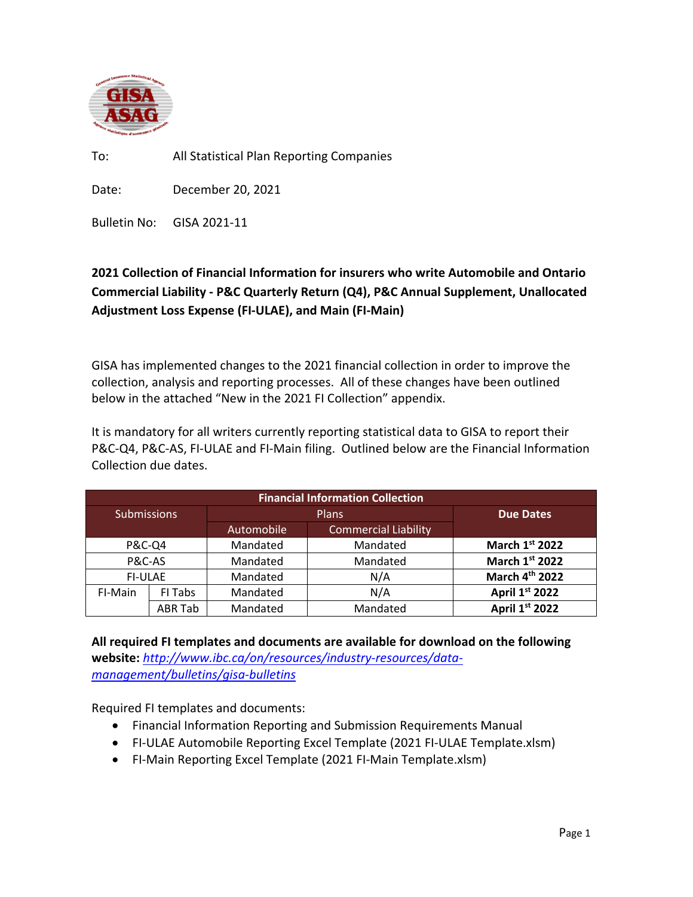

To: All Statistical Plan Reporting Companies

Date: December 20, 2021

Bulletin No: GISA 2021-11

## **2021 Collection of Financial Information for insurers who write Automobile and Ontario Commercial Liability - P&C Quarterly Return (Q4), P&C Annual Supplement, Unallocated Adjustment Loss Expense (FI-ULAE), and Main (FI-Main)**

GISA has implemented changes to the 2021 financial collection in order to improve the collection, analysis and reporting processes. All of these changes have been outlined below in the attached "New in the 2021 FI Collection" appendix.

It is mandatory for all writers currently reporting statistical data to GISA to report their P&C-Q4, P&C-AS, FI-ULAE and FI-Main filing. Outlined below are the Financial Information Collection due dates.

| <b>Financial Information Collection</b> |                |              |                      |                            |
|-----------------------------------------|----------------|--------------|----------------------|----------------------------|
| <b>Submissions</b>                      |                | <b>Plans</b> |                      | <b>Due Dates</b>           |
|                                         |                | Automobile   | Commercial Liability |                            |
| <b>P&amp;C-Q4</b>                       |                | Mandated     | Mandated             | March 1st 2022             |
| P&C-AS                                  |                | Mandated     | Mandated             | March 1st 2022             |
| <b>FI-ULAE</b>                          |                | Mandated     | N/A                  | March 4 <sup>th</sup> 2022 |
| FI-Main                                 | FI Tabs        | Mandated     | N/A                  | April 1st 2022             |
|                                         | <b>ABR Tab</b> | Mandated     | Mandated             | April 1st 2022             |

**All required FI templates and documents are available for download on the following website:** *[http://www.ibc.ca/on/resources/industry-resources/data](http://www.ibc.ca/on/resources/industry-resources/data-management/bulletins/gisa-bulletins)[management/bulletins/gisa-bulletins](http://www.ibc.ca/on/resources/industry-resources/data-management/bulletins/gisa-bulletins)*

Required FI templates and documents:

- Financial Information Reporting and Submission Requirements Manual
- FI-ULAE Automobile Reporting Excel Template (2021 FI-ULAE Template.xlsm)
- FI-Main Reporting Excel Template (2021 FI-Main Template.xlsm)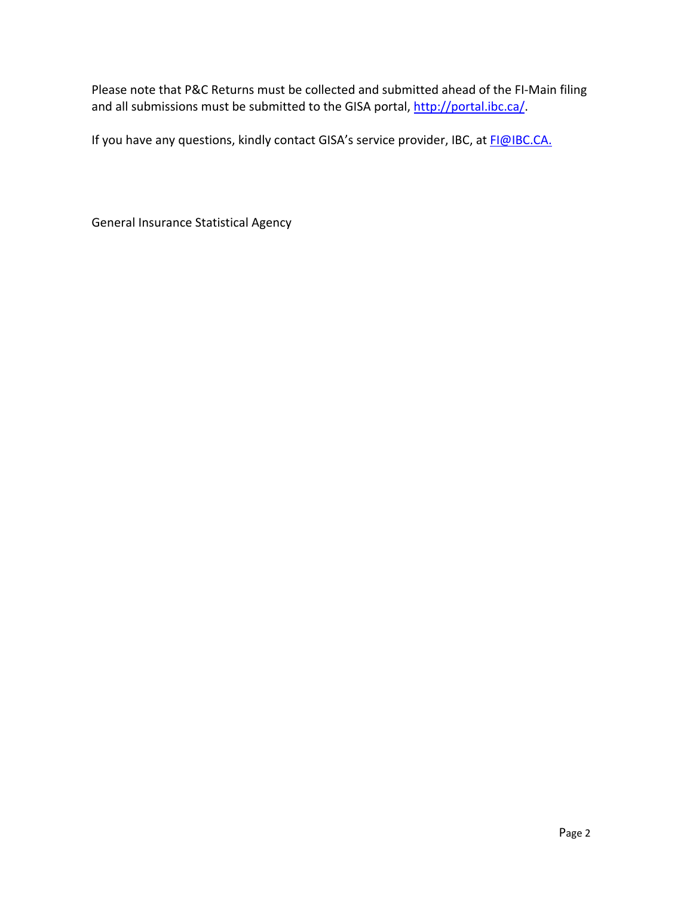Please note that P&C Returns must be collected and submitted ahead of the FI-Main filing and all submissions must be submitted to the GISA portal, [http://portal.ibc.ca/.](http://portal.ibc.ca/)

If you have any questions, kindly contact GISA's service provider, IBC, at [FI@IBC.CA.](mailto:FI@IBC.CA)

General Insurance Statistical Agency